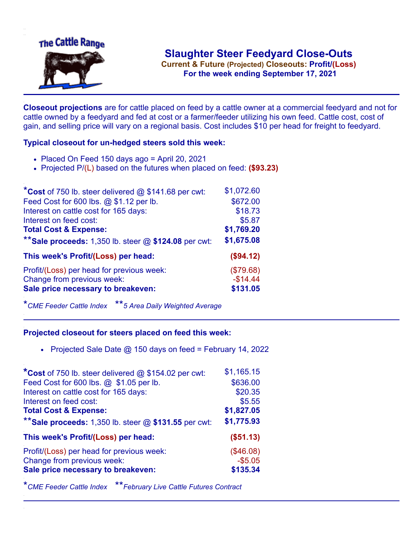

**Current & Future (Projected) Closeouts: Profit/(Loss)** .**For the week ending September 17, 2021**

**Closeout projections** are for cattle placed on feed by a cattle owner at a commercial feedyard and not for cattle owned by a feedyard and fed at cost or a farmer/feeder utilizing his own feed. Cattle cost, cost of gain, and selling price will vary on a regional basis. Cost includes \$10 per head for freight to feedyard.

## **Typical closeout for un-hedged steers sold this week:**

- Placed On Feed 150 days ago = April 20, 2021
- Projected P/(L) based on the futures when placed on feed: **(\$93.23)**

| *Cost of 750 lb. steer delivered $@$ \$141.68 per cwt:  | \$1,072.60 |
|---------------------------------------------------------|------------|
| Feed Cost for 600 lbs. @ \$1.12 per lb.                 | \$672.00   |
| Interest on cattle cost for 165 days:                   | \$18.73    |
| Interest on feed cost:                                  | \$5.87     |
| <b>Total Cost &amp; Expense:</b>                        | \$1,769.20 |
| ** Sale proceeds: 1,350 lb. steer $@$ \$124.08 per cwt: | \$1,675.08 |
| This week's Profit/(Loss) per head:                     | (\$94.12)  |
| Profit/(Loss) per head for previous week:               | (\$79.68)  |
| Change from previous week:                              | $-$14.44$  |
| Sale price necessary to breakeven:                      | \$131.05   |

\**CME Feeder Cattle Index* \*\**5 Area Daily Weighted Average*

## **Projected closeout for steers placed on feed this week:**

• Projected Sale Date  $@$  150 days on feed = February 14, 2022

| *Cost of 750 lb. steer delivered @ \$154.02 per cwt:    | \$1,165.15 |
|---------------------------------------------------------|------------|
| Feed Cost for 600 lbs. @ \$1.05 per lb.                 | \$636.00   |
| Interest on cattle cost for 165 days:                   | \$20.35    |
| Interest on feed cost:                                  | \$5.55     |
| <b>Total Cost &amp; Expense:</b>                        | \$1,827.05 |
| ** Sale proceeds: 1,350 lb. steer $@$ \$131.55 per cwt: | \$1,775.93 |
| This week's Profit/(Loss) per head:                     | (\$51.13)  |
| Profit/(Loss) per head for previous week:               | (\$46.08)  |
| Change from previous week:                              | $-$5.05$   |
| Sale price necessary to breakeven:                      | \$135.34   |

\**CME Feeder Cattle Index* \*\**February Live Cattle Futures Contract*